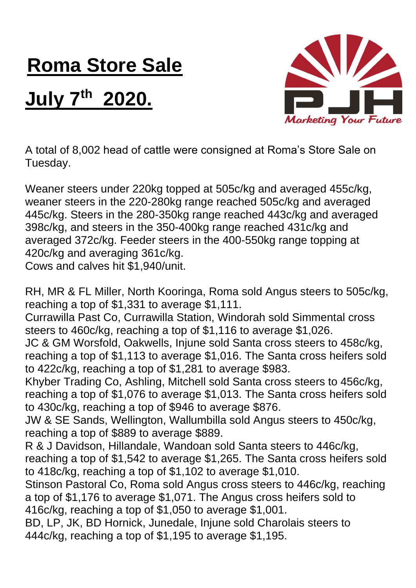## **Roma Store Sale**

## **July 7th 2020.**



A total of 8,002 head of cattle were consigned at Roma's Store Sale on Tuesday.

Weaner steers under 220kg topped at 505c/kg and averaged 455c/kg, weaner steers in the 220-280kg range reached 505c/kg and averaged 445c/kg. Steers in the 280-350kg range reached 443c/kg and averaged 398c/kg, and steers in the 350-400kg range reached 431c/kg and averaged 372c/kg. Feeder steers in the 400-550kg range topping at 420c/kg and averaging 361c/kg.

Cows and calves hit \$1,940/unit.

RH, MR & FL Miller, North Kooringa, Roma sold Angus steers to 505c/kg, reaching a top of \$1,331 to average \$1,111.

Currawilla Past Co, Currawilla Station, Windorah sold Simmental cross steers to 460c/kg, reaching a top of \$1,116 to average \$1,026.

JC & GM Worsfold, Oakwells, Injune sold Santa cross steers to 458c/kg, reaching a top of \$1,113 to average \$1,016. The Santa cross heifers sold to 422c/kg, reaching a top of \$1,281 to average \$983.

Khyber Trading Co, Ashling, Mitchell sold Santa cross steers to 456c/kg, reaching a top of \$1,076 to average \$1,013. The Santa cross heifers sold to 430c/kg, reaching a top of \$946 to average \$876.

JW & SE Sands, Wellington, Wallumbilla sold Angus steers to 450c/kg, reaching a top of \$889 to average \$889.

R & J Davidson, Hillandale, Wandoan sold Santa steers to 446c/kg, reaching a top of \$1,542 to average \$1,265. The Santa cross heifers sold to 418c/kg, reaching a top of \$1,102 to average \$1,010.

Stinson Pastoral Co, Roma sold Angus cross steers to 446c/kg, reaching a top of \$1,176 to average \$1,071. The Angus cross heifers sold to 416c/kg, reaching a top of \$1,050 to average \$1,001.

BD, LP, JK, BD Hornick, Junedale, Injune sold Charolais steers to 444c/kg, reaching a top of \$1,195 to average \$1,195.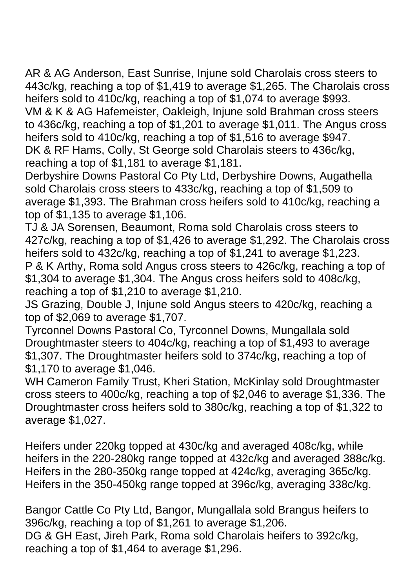AR & AG Anderson, East Sunrise, Injune sold Charolais cross steers to 443c/kg, reaching a top of \$1,419 to average \$1,265. The Charolais cross heifers sold to 410c/kg, reaching a top of \$1,074 to average \$993. VM & K & AG Hafemeister, Oakleigh, Injune sold Brahman cross steers to 436c/kg, reaching a top of \$1,201 to average \$1,011. The Angus cross heifers sold to 410c/kg, reaching a top of \$1,516 to average \$947. DK & RF Hams, Colly, St George sold Charolais steers to 436c/kg, reaching a top of \$1,181 to average \$1,181.

Derbyshire Downs Pastoral Co Pty Ltd, Derbyshire Downs, Augathella sold Charolais cross steers to 433c/kg, reaching a top of \$1,509 to average \$1,393. The Brahman cross heifers sold to 410c/kg, reaching a top of \$1,135 to average \$1,106.

TJ & JA Sorensen, Beaumont, Roma sold Charolais cross steers to 427c/kg, reaching a top of \$1,426 to average \$1,292. The Charolais cross heifers sold to 432c/kg, reaching a top of \$1,241 to average \$1,223. P & K Arthy, Roma sold Angus cross steers to 426c/kg, reaching a top of \$1,304 to average \$1,304. The Angus cross heifers sold to 408c/kg, reaching a top of \$1,210 to average \$1,210.

JS Grazing, Double J, Injune sold Angus steers to 420c/kg, reaching a top of \$2,069 to average \$1,707.

Tyrconnel Downs Pastoral Co, Tyrconnel Downs, Mungallala sold Droughtmaster steers to 404c/kg, reaching a top of \$1,493 to average \$1,307. The Droughtmaster heifers sold to 374c/kg, reaching a top of \$1,170 to average \$1,046.

WH Cameron Family Trust, Kheri Station, McKinlay sold Droughtmaster cross steers to 400c/kg, reaching a top of \$2,046 to average \$1,336. The Droughtmaster cross heifers sold to 380c/kg, reaching a top of \$1,322 to average \$1,027.

Heifers under 220kg topped at 430c/kg and averaged 408c/kg, while heifers in the 220-280kg range topped at 432c/kg and averaged 388c/kg. Heifers in the 280-350kg range topped at 424c/kg, averaging 365c/kg. Heifers in the 350-450kg range topped at 396c/kg, averaging 338c/kg.

Bangor Cattle Co Pty Ltd, Bangor, Mungallala sold Brangus heifers to 396c/kg, reaching a top of \$1,261 to average \$1,206. DG & GH East, Jireh Park, Roma sold Charolais heifers to 392c/kg, reaching a top of \$1,464 to average \$1,296.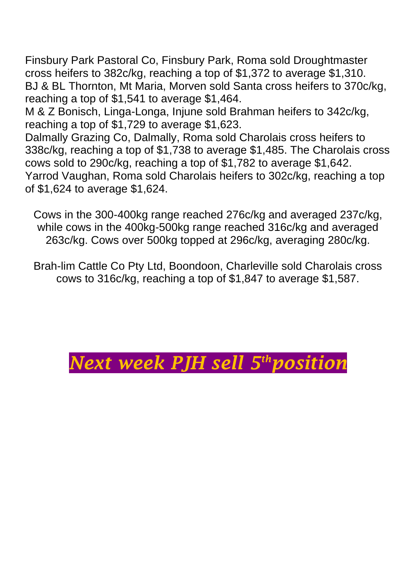Finsbury Park Pastoral Co, Finsbury Park, Roma sold Droughtmaster cross heifers to 382c/kg, reaching a top of \$1,372 to average \$1,310. BJ & BL Thornton, Mt Maria, Morven sold Santa cross heifers to 370c/kg, reaching a top of \$1,541 to average \$1,464.

M & Z Bonisch, Linga-Longa, Injune sold Brahman heifers to 342c/kg, reaching a top of \$1,729 to average \$1,623.

Dalmally Grazing Co, Dalmally, Roma sold Charolais cross heifers to 338c/kg, reaching a top of \$1,738 to average \$1,485. The Charolais cross cows sold to 290c/kg, reaching a top of \$1,782 to average \$1,642. Yarrod Vaughan, Roma sold Charolais heifers to 302c/kg, reaching a top of \$1,624 to average \$1,624.

Cows in the 300-400kg range reached 276c/kg and averaged 237c/kg, while cows in the 400kg-500kg range reached 316c/kg and averaged 263c/kg. Cows over 500kg topped at 296c/kg, averaging 280c/kg.

Brah-lim Cattle Co Pty Ltd, Boondoon, Charleville sold Charolais cross cows to 316c/kg, reaching a top of \$1,847 to average \$1,587.

## *Next week PJH sell 5thposition*